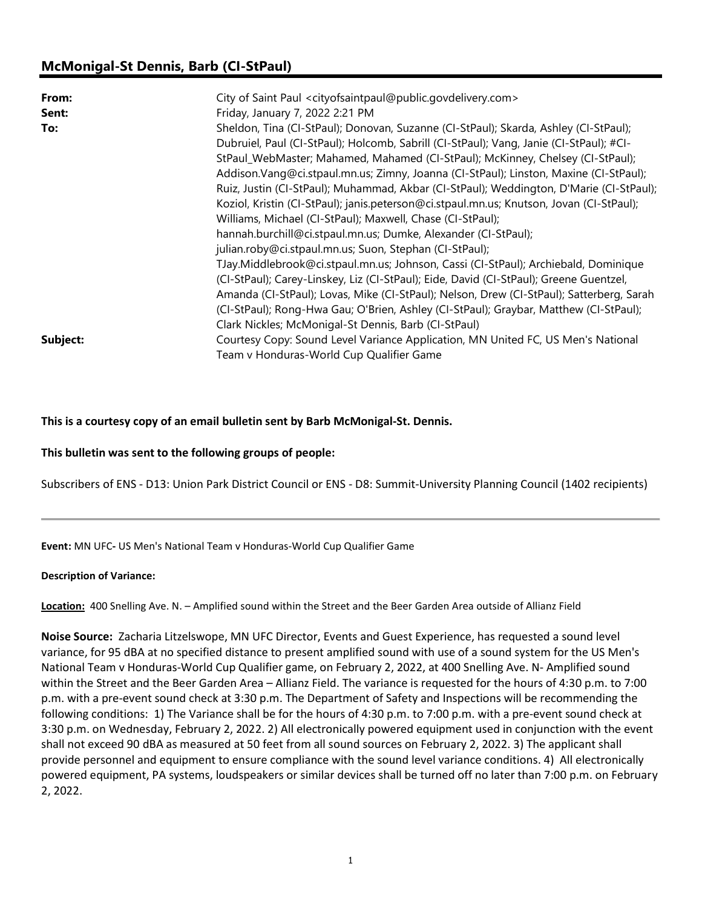## McMonigal-St Dennis, Barb (CI-StPaul)

| From:<br>Sent: | City of Saint Paul <cityofsaintpaul@public.govdelivery.com><br/>Friday, January 7, 2022 2:21 PM</cityofsaintpaul@public.govdelivery.com>                                                                                                                                                                                                                                                                                                                                                                                                                                                                              |
|----------------|-----------------------------------------------------------------------------------------------------------------------------------------------------------------------------------------------------------------------------------------------------------------------------------------------------------------------------------------------------------------------------------------------------------------------------------------------------------------------------------------------------------------------------------------------------------------------------------------------------------------------|
| To:            | Sheldon, Tina (CI-StPaul); Donovan, Suzanne (CI-StPaul); Skarda, Ashley (CI-StPaul);<br>Dubruiel, Paul (CI-StPaul); Holcomb, Sabrill (CI-StPaul); Vang, Janie (CI-StPaul); #CI-<br>StPaul_WebMaster; Mahamed, Mahamed (CI-StPaul); McKinney, Chelsey (CI-StPaul);<br>Addison.Vang@ci.stpaul.mn.us; Zimny, Joanna (CI-StPaul); Linston, Maxine (CI-StPaul);<br>Ruiz, Justin (CI-StPaul); Muhammad, Akbar (CI-StPaul); Weddington, D'Marie (CI-StPaul);<br>Koziol, Kristin (CI-StPaul); janis.peterson@ci.stpaul.mn.us; Knutson, Jovan (CI-StPaul);                                                                     |
|                | Williams, Michael (CI-StPaul); Maxwell, Chase (CI-StPaul);<br>hannah.burchill@ci.stpaul.mn.us; Dumke, Alexander (CI-StPaul);<br>julian.roby@ci.stpaul.mn.us; Suon, Stephan (CI-StPaul);<br>TJay.Middlebrook@ci.stpaul.mn.us; Johnson, Cassi (CI-StPaul); Archiebald, Dominique<br>(CI-StPaul); Carey-Linskey, Liz (CI-StPaul); Eide, David (CI-StPaul); Greene Guentzel,<br>Amanda (CI-StPaul); Lovas, Mike (CI-StPaul); Nelson, Drew (CI-StPaul); Satterberg, Sarah<br>(CI-StPaul); Rong-Hwa Gau; O'Brien, Ashley (CI-StPaul); Graybar, Matthew (CI-StPaul);<br>Clark Nickles; McMonigal-St Dennis, Barb (Cl-StPaul) |
| Subject:       | Courtesy Copy: Sound Level Variance Application, MN United FC, US Men's National<br>Team v Honduras-World Cup Qualifier Game                                                                                                                                                                                                                                                                                                                                                                                                                                                                                          |

## This is a courtesy copy of an email bulletin sent by Barb McMonigal-St. Dennis.

This bulletin was sent to the following groups of people:

Subscribers of ENS - D13: Union Park District Council or ENS - D8: Summit-University Planning Council (1402 recipients)

Event: MN UFC- US Men's National Team v Honduras-World Cup Qualifier Game

## Description of Variance:

Location: 400 Snelling Ave. N. – Amplified sound within the Street and the Beer Garden Area outside of Allianz Field

Noise Source: Zacharia Litzelswope, MN UFC Director, Events and Guest Experience, has requested a sound level variance, for 95 dBA at no specified distance to present amplified sound with use of a sound system for the US Men's National Team v Honduras-World Cup Qualifier game, on February 2, 2022, at 400 Snelling Ave. N- Amplified sound within the Street and the Beer Garden Area – Allianz Field. The variance is requested for the hours of 4:30 p.m. to 7:00 p.m. with a pre-event sound check at 3:30 p.m. The Department of Safety and Inspections will be recommending the following conditions: 1) The Variance shall be for the hours of 4:30 p.m. to 7:00 p.m. with a pre-event sound check at 3:30 p.m. on Wednesday, February 2, 2022. 2) All electronically powered equipment used in conjunction with the event shall not exceed 90 dBA as measured at 50 feet from all sound sources on February 2, 2022. 3) The applicant shall provide personnel and equipment to ensure compliance with the sound level variance conditions. 4) All electronically powered equipment, PA systems, loudspeakers or similar devices shall be turned off no later than 7:00 p.m. on February 2, 2022.